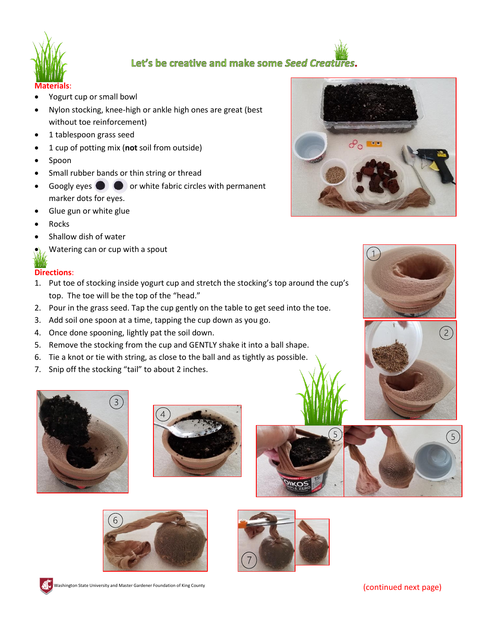

## Let's be creative and make some Seed Creatures.

- Yogurt cup or small bowl
- Nylon stocking, knee-high or ankle high ones are great (best without toe reinforcement)
- 1 tablespoon grass seed
- 1 cup of potting mix (**not** soil from outside)
- Spoon
- Small rubber bands or thin string or thread
- Googly eyes  $\bullet$  or white fabric circles with permanent marker dots for eyes.
- Glue gun or white glue
- Rocks
- Shallow dish of water

• Watering can or cup with a spout

## **Directions**:

- 1. Put toe of stocking inside yogurt cup and stretch the stocking's top around the cup's top. The toe will be the top of the "head."
- 2. Pour in the grass seed. Tap the cup gently on the table to get seed into the toe.
- 3. Add soil one spoon at a time, tapping the cup down as you go.
- 4. Once done spooning, lightly pat the soil down.
- 5. Remove the stocking from the cup and GENTLY shake it into a ball shape.
- 6. Tie a knot or tie with string, as close to the ball and as tightly as possible.
- 7. Snip off the stocking "tail" to about 2 inches.

















5



Washington State University and Master Gardener Foundation of King County County and Master Gardener Foundation of King County